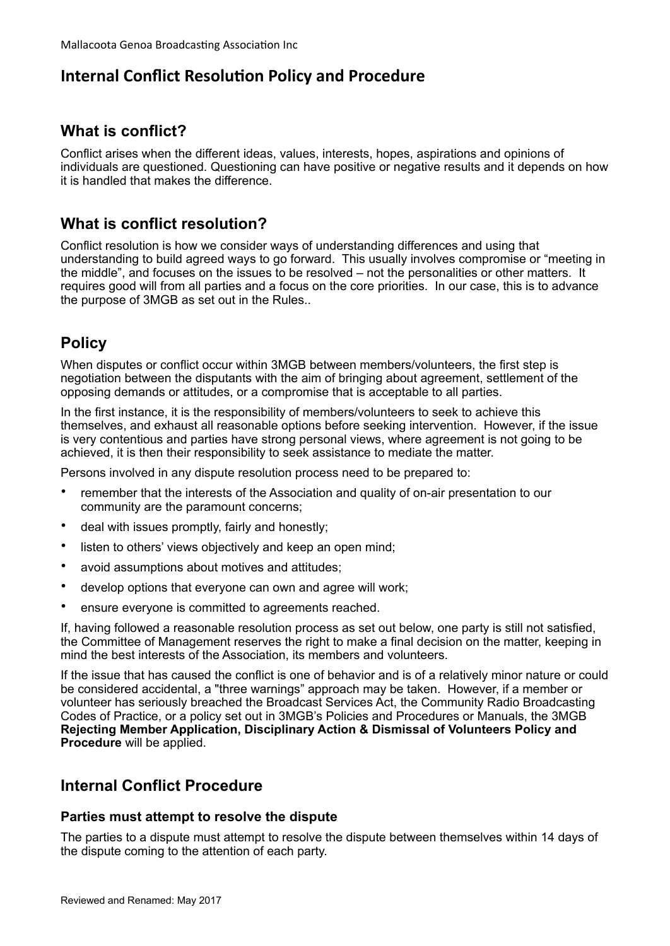# **Internal Conflict Resolution Policy and Procedure**

## **What is conflict?**

Conflict arises when the different ideas, values, interests, hopes, aspirations and opinions of individuals are questioned. Questioning can have positive or negative results and it depends on how it is handled that makes the difference.

## **What is conflict resolution?**

Conflict resolution is how we consider ways of understanding differences and using that understanding to build agreed ways to go forward. This usually involves compromise or "meeting in the middle", and focuses on the issues to be resolved – not the personalities or other matters. It requires good will from all parties and a focus on the core priorities. In our case, this is to advance the purpose of 3MGB as set out in the Rules..

## **Policy**

When disputes or conflict occur within 3MGB between members/volunteers, the first step is negotiation between the disputants with the aim of bringing about agreement, settlement of the opposing demands or attitudes, or a compromise that is acceptable to all parties.

In the first instance, it is the responsibility of members/volunteers to seek to achieve this themselves, and exhaust all reasonable options before seeking intervention. However, if the issue is very contentious and parties have strong personal views, where agreement is not going to be achieved, it is then their responsibility to seek assistance to mediate the matter.

Persons involved in any dispute resolution process need to be prepared to:

- remember that the interests of the Association and quality of on-air presentation to our community are the paramount concerns;
- deal with issues promptly, fairly and honestly;
- listen to others' views objectively and keep an open mind;
- avoid assumptions about motives and attitudes;
- develop options that everyone can own and agree will work;
- ensure everyone is committed to agreements reached.

If, having followed a reasonable resolution process as set out below, one party is still not satisfied, the Committee of Management reserves the right to make a final decision on the matter, keeping in mind the best interests of the Association, its members and volunteers.

If the issue that has caused the conflict is one of behavior and is of a relatively minor nature or could be considered accidental, a "three warnings" approach may be taken. However, if a member or volunteer has seriously breached the Broadcast Services Act, the Community Radio Broadcasting Codes of Practice, or a policy set out in 3MGB's Policies and Procedures or Manuals, the 3MGB **Rejecting Member Application, Disciplinary Action & Dismissal of Volunteers Policy and Procedure** will be applied.

### **Internal Conflict Procedure**

#### **Parties must attempt to resolve the dispute**

The parties to a dispute must attempt to resolve the dispute between themselves within 14 days of the dispute coming to the attention of each party.